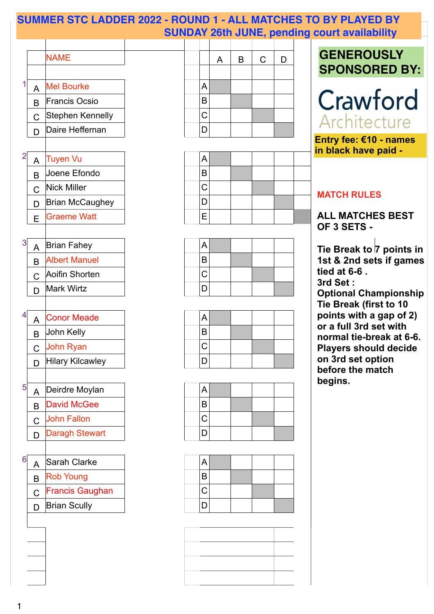







**Tie Break to 7 points in 1st & 2nd sets if games tied at 6-6 . 3rd Set : Optional Championship Tie Break (first to 10 points with a gap of 2) or a full 3rd set with normal tie-break at 6-6. Players should decide on 3rd set option before the match begins.**





#### **MATCH RULES**

### **ALL MATCHES BEST OF 3 SETS -**



Tuyen Vu and A

1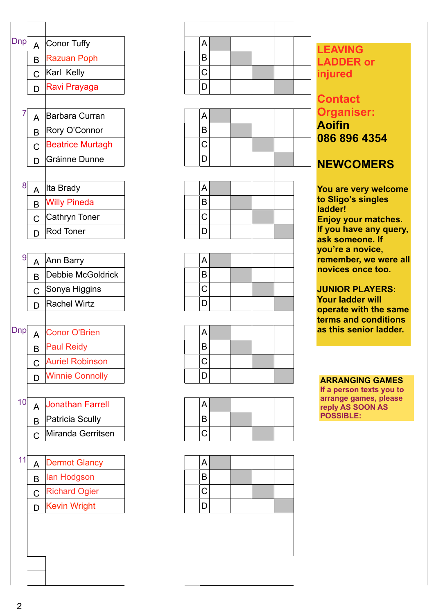



















**ARRANGING GAMES If a person texts you to arrange games, please reply AS SOON AS** 

**POSSIBLE:** 

**LEAVING LADDER or injured**

## **Contact Organiser: Aoifin 086 896 4354**

#### **NEWCOMERS**

**You are very welcome to Sligo's singles ladder! Enjoy your matches. If you have any query, ask someone. If you're a novice, remember, we were all novices once too.**

**JUNIOR PLAYERS: Your ladder will operate with the same terms and conditions** 

#### **as this senior ladder.**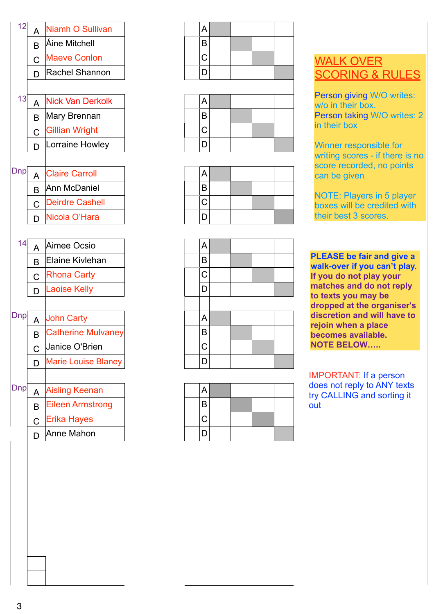











**PLEASE be fair and give a PLEASE be fair and give a** not **walk-over if you can't play. If you do not play your matches and do not reply to texts you may be dropped at the organiser's discretion and will have to rejoin when a place becomes available. NOTE BELOW…..**

Person giving W/O writes: w/o in their box. Person taking W/O writes: 2 in their box

|     | B            | <b>Catherine Mulvaney</b>  |
|-----|--------------|----------------------------|
|     | $\mathbf C$  | Janice O'Brien             |
|     | D            | <b>Marie Louise Blaney</b> |
|     |              |                            |
| Dnp | $\mathbf{A}$ | <b>Aisling Keenan</b>      |
|     |              | <b>Eileen Armstrong</b>    |
|     | $\mathsf{C}$ | <b>Erika Hayes</b>         |
|     |              | Anne Mahon                 |



NOTE: Players in 5 player boxes will be credited with their best 3 scores.

# WALK OVER SCORING & RULES

Winner responsible for writing scores - if there is no score recorded, no points can be given

IMPORTANT: If a person does not reply to ANY texts try CALLING and sorting it out

|  | and the control of the control of the control of the control of the control of the control of the control of the |  |  |
|--|------------------------------------------------------------------------------------------------------------------|--|--|
|  |                                                                                                                  |  |  |